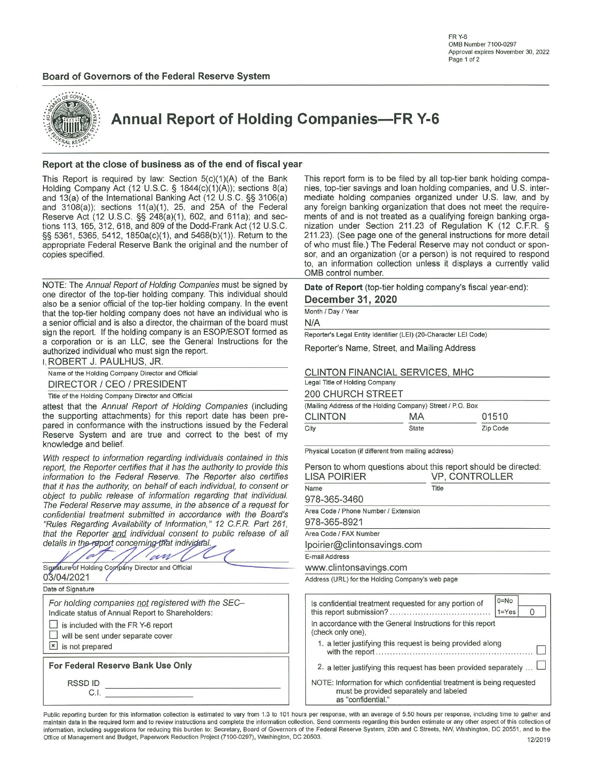

**Annual Report of Holding Companies-FR Y-6** 

### Report at the close of business as of the end of fiscal year

This Report is required by law: Section  $5(c)(1)(A)$  of the Bank Holding Company Act (12 U.S.C. § 1844(c)(1)(A)); sections 8(a) and 13(a) of the International Banking Act (12 U.S.C. §§ 3106(a) and 3108(a)); sections 11(a)(1), 25, and 25A of the Federal Reserve Act (12 U.S.C. §§ 248(a)(1), 602, and 611a); and sections 113, 165, 312, 618, and 809 of the Dodd-Frank Act (12 U.S.C. §§ 5361, 5365, 5412, 1850a(c)(1), and 5468(b)(1)). Return to the appropriate Federal Reserve Bank the original and the number of copies specified.

NOTE: The Annual Report of Holding Companies must be signed by one director of the top-tier holding company. This individual should also be a senior official of the top-tier holding company. In the event that the top-tier holding company does not have an individual who is a senior official and is also a director, the chairman of the board must sign the report. If the holding company is an ESOP/ESOT formed as a corporation or is an LLC, see the General Instructions for the authorized individual who must sign the report. **DODEDT L DALILLIC**  $\overline{1}$ 

|  | I. RUBERT J. PAULHUS, JR.                         |  |
|--|---------------------------------------------------|--|
|  | Name of the Holding Company Director and Official |  |

DIRECTOR / CEO / PRESIDENT

Title of the Holding Company Director and Official

attest that the Annual Report of Holding Companies (including the supporting attachments) for this report date has been prepared in conformance with the instructions issued by the Federal Reserve System and are true and correct to the best of my knowledge and belief.

With respect to information regarding individuals contained in report, the Reporter certifies that it has the authority to provide information to the Federal Reserve. The Reporter also cer that it has the authority, on behalf of each individual, to consel object to public release of information regarding that individ The Federal Reserve may assume, in the absence of a reques confidential treatment submitted in accordance with the Boa "Rules Regarding Availability of Information," 12 C.F.R. Part that the Reporter and individual consent to public release o details in the report concerning that individual.

| 6f Holding Company Director and Official |  |  |  |  |
|------------------------------------------|--|--|--|--|

Signature of Holding Company Director and Official 03/04/2021

Date of Signature

For holding companies not registered with the SEC-Indicate status of Annual Report to Shareholders:  $\Box$  is included with the FR Y-6 report  $\Box$  will be sent under separate cover  $\boxed{\mathbf{x}}$  is not prepared

For Federal Reserve Bank Use Only

**RSSDID** C.I. This report form is to be filed by all top-tier bank holding companies, top-tier savings and loan holding companies, and U.S. intermediate holding companies organized under U.S. law, and by any foreign banking organization that does not meet the requirements of and is not treated as a qualifying foreign banking organization under Section 211.23 of Regulation K (12 C.F.R. § 211.23). (See page one of the general instructions for more detail of who must file.) The Federal Reserve may not conduct or sponsor, and an organization (or a person) is not required to respond to, an information collection unless it displays a currently valid OMB control number.

Date of Report (top-tier holding company's fiscal year-end): December 31, 2020

Month / Day / Year

N/A

Reporter's Legal Entity Identifier (LEI) (20-Character LEI Code)

Reporter's Name, Street, and Mailing Address

### CLINTON FINANCIAL SERVICES, MHC

Legal Title of Holding Company **200 CHURCH STREET** (Mailing Address of the Holding Company) Street / P.O. Box **CLINTON** MA 01510  $\overline{C}$ ity Zip Code

State

Physical Location (if different from mailing address)

| Person to whom questions about this report should be directed:<br>LISA POIRIER   | VP, CONTROLLER |                |  |  |  |  |  |  |  |  |
|----------------------------------------------------------------------------------|----------------|----------------|--|--|--|--|--|--|--|--|
| Name                                                                             | Title          |                |  |  |  |  |  |  |  |  |
| 978-365-3460                                                                     |                |                |  |  |  |  |  |  |  |  |
| Area Code / Phone Number / Extension                                             |                |                |  |  |  |  |  |  |  |  |
| 978-365-8921                                                                     |                |                |  |  |  |  |  |  |  |  |
| Area Code / FAX Number                                                           |                |                |  |  |  |  |  |  |  |  |
| lpoirier@clintonsavings.com                                                      |                |                |  |  |  |  |  |  |  |  |
| E-mail Address                                                                   |                |                |  |  |  |  |  |  |  |  |
| www.clintonsavings.com                                                           |                |                |  |  |  |  |  |  |  |  |
| Address (URL) for the Holding Company's web page                                 |                |                |  |  |  |  |  |  |  |  |
|                                                                                  |                |                |  |  |  |  |  |  |  |  |
| Is confidential treatment requested for any portion of                           |                | $0 = No$       |  |  |  |  |  |  |  |  |
|                                                                                  |                | $1 = Yes$<br>O |  |  |  |  |  |  |  |  |
| In accordance with the General Instructions for this report<br>(check only one), |                |                |  |  |  |  |  |  |  |  |
| 1. a letter justifying this request is being provided along                      |                |                |  |  |  |  |  |  |  |  |
|                                                                                  |                |                |  |  |  |  |  |  |  |  |

2. a letter justifying this request has been provided separately ...  $\Box$ 

NOTE: Information for which confidential treatment is being requested must be provided separately and labeled as "confidential."

Public reporting burden for this information collection is estimated to vary from 1.3 to 101 hours per response, with an average of 5.50 hours per response, including time to gather and maintain data in the required form and to review instructions and complete the information collection. Send comments regarding this burden estimate or any other aspect of this collection of information, including suggestions for reducing this burden to: Secretary, Board of Governors of the Federal Reserve System, 20th and C Streets, NW, Washington, DC 20551, and to the Office of Management and Budget, Paperwork Reduction Project (7100-0297), Washington, DC 20503. 12/2019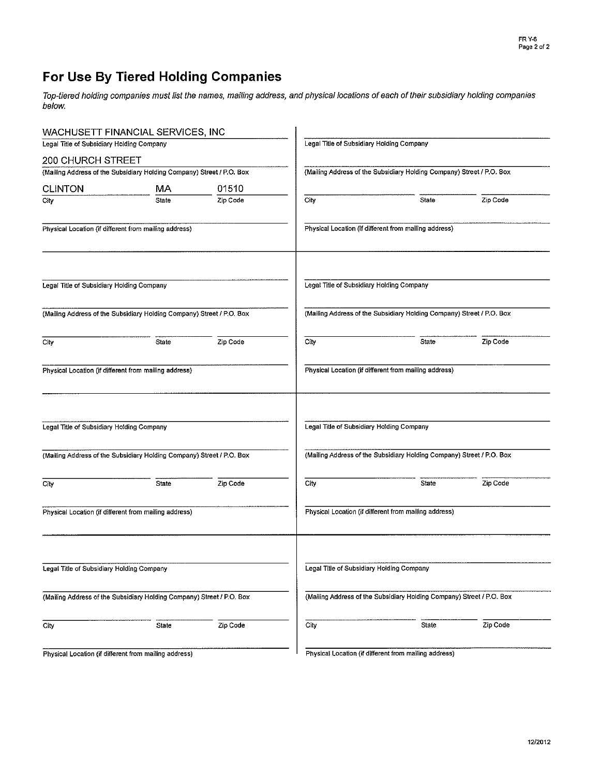# For Use By Tiered Holding Companies

Top-tiered holding companies must list the names, mailing address, and physical locations of each of their subsidiary holding companies below.

|                                                       | WACHUSETT FINANCIAL SERVICES, INC                                     |          |                                                                       |                                                                       |          |  |  |  |  |  |  |
|-------------------------------------------------------|-----------------------------------------------------------------------|----------|-----------------------------------------------------------------------|-----------------------------------------------------------------------|----------|--|--|--|--|--|--|
| Legal Title of Subsidiary Holding Company             |                                                                       |          | Legal Title of Subsidiary Holding Company                             |                                                                       |          |  |  |  |  |  |  |
| 200 CHURCH STREET                                     |                                                                       |          |                                                                       |                                                                       |          |  |  |  |  |  |  |
|                                                       | (Mailing Address of the Subsidiary Holding Company) Street / P.O. Box |          | (Mailing Address of the Subsidiary Holding Company) Street / P.O. Box |                                                                       |          |  |  |  |  |  |  |
| <b>CLINTON</b>                                        | МA                                                                    | 01510    |                                                                       |                                                                       |          |  |  |  |  |  |  |
| City                                                  | State                                                                 | Zip Code | City                                                                  | State                                                                 | Zip Code |  |  |  |  |  |  |
| Physical Location (if different from mailing address) |                                                                       |          |                                                                       | Physical Location (if different from mailing address)                 |          |  |  |  |  |  |  |
| Legal Title of Subsidiary Holding Company             |                                                                       |          | Legal Title of Subsidiary Holding Company                             |                                                                       |          |  |  |  |  |  |  |
|                                                       | (Mailing Address of the Subsidiary Holding Company) Street / P.O. Box |          |                                                                       | (Mailing Address of the Subsidiary Holding Company) Street / P.O. Box |          |  |  |  |  |  |  |
| City                                                  | State                                                                 | Zip Code | City                                                                  | State                                                                 | Zip Code |  |  |  |  |  |  |
|                                                       | Physical Location (if different from mailing address)                 |          |                                                                       | Physical Location (if different from mailing address)                 |          |  |  |  |  |  |  |
| Legal Title of Subsidiary Holding Company             |                                                                       |          | Legal Title of Subsidiary Holding Company                             |                                                                       |          |  |  |  |  |  |  |
|                                                       | (Mailing Address of the Subsidiary Holding Company) Street / P.O. Box |          |                                                                       | (Mailing Address of the Subsidiary Holding Company) Street / P.O. Box |          |  |  |  |  |  |  |
| City                                                  | State                                                                 | Zip Code | City                                                                  | <b>State</b>                                                          | Zip Code |  |  |  |  |  |  |
|                                                       | Physical Location (if different from mailing address)                 |          |                                                                       | Physical Location (if different from mailing address)                 |          |  |  |  |  |  |  |
| Legal Title of Subsidiary Holding Company             |                                                                       |          | Legal Title of Subsidiary Holding Company                             |                                                                       |          |  |  |  |  |  |  |
|                                                       | (Mailing Address of the Subsidiary Holding Company) Street / P.O. Box |          |                                                                       | (Mailing Address of the Subsidiary Holding Company) Street / P.O. Box |          |  |  |  |  |  |  |
| City                                                  | State                                                                 | Zip Code | City                                                                  | State                                                                 | Zip Code |  |  |  |  |  |  |
|                                                       | Physical Location (if different from mailing address)                 |          |                                                                       | Physical Location (if different from mailing address)                 |          |  |  |  |  |  |  |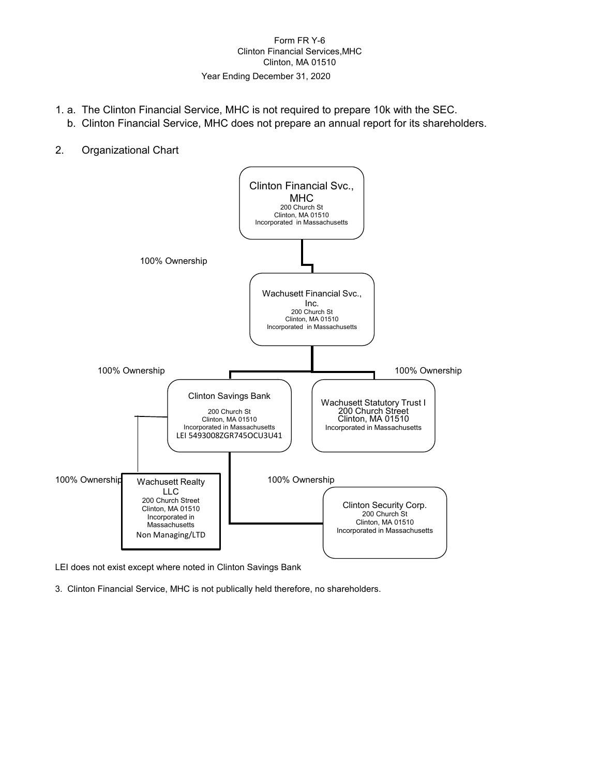# Form FR Y-6 Clinton Financial Services,MHC Clinton, MA 01510

# Year Ending December 31, 2020

- 1. a. The Clinton Financial Service, MHC is not required to prepare 10k with the SEC.
- b. Clinton Financial Service, MHC does not prepare an annual report for its shareholders.
- 2. Organizational Chart



LEI does not exist except where noted in Clinton Savings Bank

3. Clinton Financial Service, MHC is not publically held therefore, no shareholders.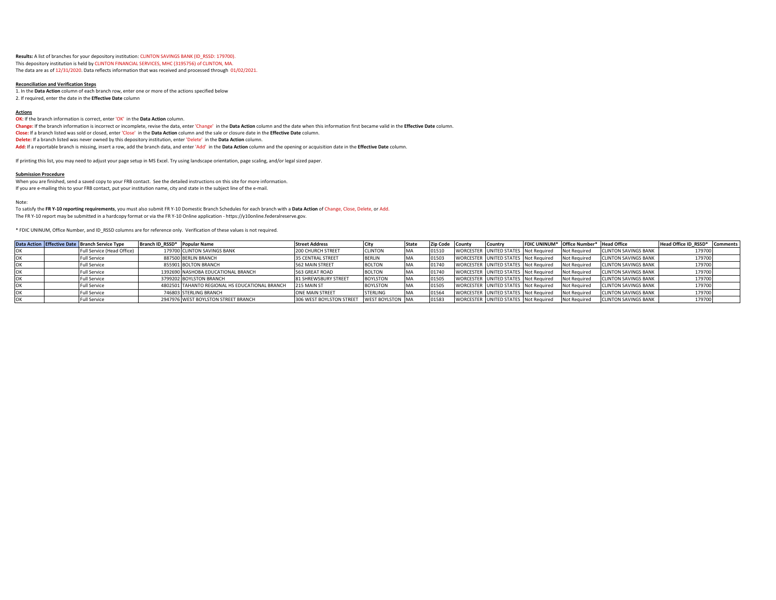**Results:** A list of branches for your depository institution: CLINTON SAVINGS BANK (ID\_RSSD: 179700). This depository institution is held by CLINTON FINANCIAL SERVICES, MHC (3195756) of CLINTON, MA. The data are as of 12/31/2020. Data reflects information that was received and processed through 01/02/2021.

#### **Reconciliation and Verification Steps**

1. In the **Data Action** column of each branch row, enter one or more of the actions specified below 2. If required, enter the date in the **Effective Date** column

#### **Actions**

**OK:** If the branch information is correct, enter 'OK' in the Data Action column.

**Change:** If the branch information is incorrect or incomplete, revise the data, enter 'Change' in the **Data Action** column and the date when this information first became valid in the **Effective Date** column. **Close:** If a branch listed was sold or closed, enter 'Close' in the **Data Action** column and the sale or closure date in the **Effective Date** column. **Delete:** If a branch listed was never owned by this depository institution, enter 'Delete' in the **Data Action** column. **Add:** If a reportable branch is missing, insert a row, add the branch data, and enter 'Add' in the **Data Action** column and the opening or acquisition date in the **Effective Date** column.

If printing this list, you may need to adjust your page setup in MS Excel. Try using landscape orientation, page scaling, and/or legal sized paper.

#### **Submission Procedure**

When you are finished, send a saved copy to your FRB contact. See the detailed instructions on this site for more information. If you are e-mailing this to your FRB contact, put your institution name, city and state in the subject line of the e-mail.

Note:

To satisfy the **FR Y-10 reporting requirements**, you must also submit FR Y-10 Domestic Branch Schedules for each branch with a **Data Action** of Change, Close, Delete, or Add. The FR Y-10 report may be submitted in a hardcopy format or via the FR Y-10 Online application - https://y10online.federalreserve.gov.

\* FDIC UNINUM, Office Number, and ID\_RSSD columns are for reference only. Verification of these values is not required.

|  | Data Action Effective Date Branch Service Type | Branch ID RSSD* Popular Name |                                                | <b>Street Address</b>    | <b>City</b>      | State | Zip Code County | <b>ICountry</b>                      | FDIC UNINUM* Office Number* Head Office |                             | Head Office ID RSSD* | <b>Comments</b> |
|--|------------------------------------------------|------------------------------|------------------------------------------------|--------------------------|------------------|-------|-----------------|--------------------------------------|-----------------------------------------|-----------------------------|----------------------|-----------------|
|  | Full Service (Head Office)                     |                              | 179700 CLINTON SAVINGS BANK                    | <b>200 CHURCH STREET</b> | <b>CLINTON</b>   |       | 01510           | WORCESTER UNITED STATES Not Required | Not Required                            | <b>CLINTON SAVINGS BANK</b> | 179700               |                 |
|  | <b>Full Service</b>                            |                              | 887500 BERLIN BRANCH                           | <b>35 CENTRAL STREET</b> | <b>BERLIN</b>    |       | 01505           | WORCESTER UNITED STATES Not Required | Not Required                            | <b>CLINTON SAVINGS BANK</b> | 179700               |                 |
|  | <b>Full Service</b>                            |                              | 855901 BOLTON BRANCH                           | 562 MAIN STREET          | <b>BOLTON</b>    |       | 01740           | WORCESTER UNITED STATES Not Required | Not Required                            | <b>CLINTON SAVINGS BANK</b> | 179700               |                 |
|  | <b>Full Service</b>                            |                              | 1392690 NASHOBA EDUCATIONAL BRANCH             | 563 GREAT ROAD           | <b>BOLTON</b>    |       | 01740           | WORCESTER UNITED STATES Not Required | Not Required                            | <b>CLINTON SAVINGS BANK</b> | 179700               |                 |
|  | <b>Full Service</b>                            |                              | 3799202 BOYLSTON BRANCH                        | 81 SHREWSBURY STREET     | <b>BOYLSTON</b>  |       | 01505           | WORCESTER UNITED STATES Not Required | Not Required                            | <b>CLINTON SAVINGS BANK</b> | 179700               |                 |
|  | <b>Full Service</b>                            |                              | 4802501 TAHANTO REGIONAL HS EDUCATIONAL BRANCH | 215 MAIN ST              | <b>BOYLSTON</b>  |       | 01505           | WORCESTER UNITED STATES Not Required | Not Required                            | <b>CLINTON SAVINGS BANK</b> | 179700               |                 |
|  | <b>Full Service</b>                            |                              | 746803 STERLING BRANCH                         | <b>ONE MAIN STREET</b>   | <b>STERLING</b>  |       | 0156            | WORCESTER UNITED STATES Not Required | Not Required                            | <b>CLINTON SAVINGS BANK</b> | 179700               |                 |
|  | <b>Full Service</b>                            |                              | 2947976 WEST BOYLSTON STREET BRANCH            | 306 WEST BOYLSTON STREET | WEST BOYLSTON MA |       | 01583           | WORCESTER UNITED STATES Not Required | Not Required                            | <b>CLINTON SAVINGS BANK</b> | 179700               |                 |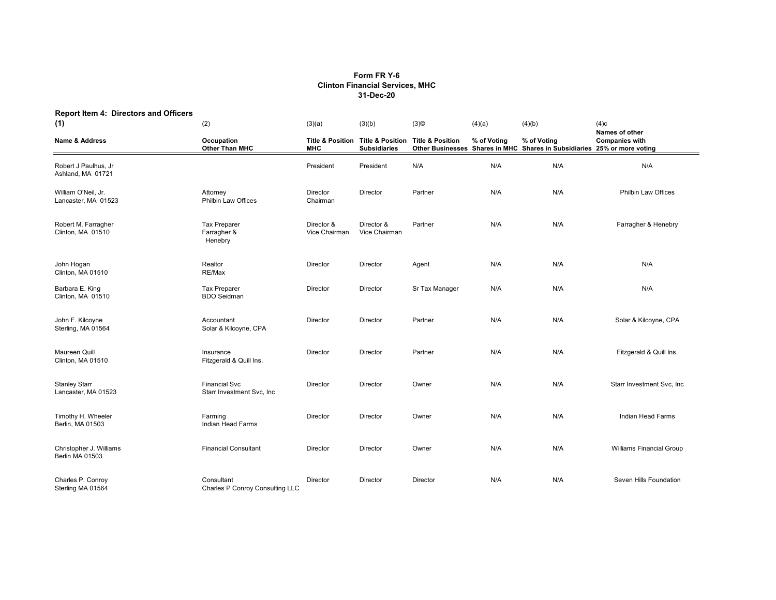# **Form FR Y-6 Clinton Financial Services, MHC 31-Dec-20**

| <b>Report Item 4: Directors and Officers</b><br>(1) | (2)                                               | (3)(a)                      | (3)(b)                                                                  | $(3)$ ©                     | (4)(a)      | (4)(b)                                                                                  | (4)c<br>Names of other<br><b>Companies with</b> |  |
|-----------------------------------------------------|---------------------------------------------------|-----------------------------|-------------------------------------------------------------------------|-----------------------------|-------------|-----------------------------------------------------------------------------------------|-------------------------------------------------|--|
| <b>Name &amp; Address</b>                           | Occupation<br>Other Than MHC                      | <b>MHC</b>                  | <b>Title &amp; Position Title &amp; Position</b><br><b>Subsidiaries</b> | <b>Title &amp; Position</b> | % of Voting | % of Voting<br>Other Businesses Shares in MHC Shares in Subsidiaries 25% or more voting |                                                 |  |
| Robert J Paulhus, Jr<br>Ashland, MA 01721           |                                                   | President                   | President                                                               | N/A                         | N/A         | N/A                                                                                     | N/A                                             |  |
| William O'Neil, Jr.<br>Lancaster, MA 01523          | Attorney<br><b>Philbin Law Offices</b>            | Director<br>Chairman        | Director                                                                | Partner                     | N/A         | N/A                                                                                     | <b>Philbin Law Offices</b>                      |  |
| Robert M. Farragher<br>Clinton, MA 01510            | <b>Tax Preparer</b><br>Farragher &<br>Henebry     | Director &<br>Vice Chairman | Director &<br>Vice Chairman                                             | Partner                     | N/A         | N/A                                                                                     | Farragher & Henebry                             |  |
| John Hogan<br>Clinton, MA 01510                     | Realtor<br>RE/Max                                 | Director                    | Director                                                                | Agent                       | N/A         | N/A                                                                                     | N/A                                             |  |
| Barbara E. King<br>Clinton, MA 01510                | <b>Tax Preparer</b><br><b>BDO Seidman</b>         | Director                    | Director                                                                | Sr Tax Manager              | N/A         | N/A                                                                                     | N/A                                             |  |
| John F. Kilcoyne<br>Sterling, MA 01564              | Accountant<br>Solar & Kilcoyne, CPA               | Director                    | Director                                                                | Partner                     | N/A         | N/A                                                                                     | Solar & Kilcoyne, CPA                           |  |
| Maureen Quill<br>Clinton, MA 01510                  | Insurance<br>Fitzgerald & Quill Ins.              | Director                    | Director                                                                | Partner                     | N/A         | N/A                                                                                     | Fitzgerald & Quill Ins.                         |  |
| <b>Stanley Starr</b><br>Lancaster, MA 01523         | <b>Financial Svc</b><br>Starr Investment Svc, Inc | Director                    | Director                                                                | Owner                       | N/A         | N/A                                                                                     | Starr Investment Svc, Inc.                      |  |
| Timothy H. Wheeler<br>Berlin, MA 01503              | Farming<br>Indian Head Farms                      | Director                    | Director                                                                | Owner                       | N/A         | N/A                                                                                     | Indian Head Farms                               |  |
| Christopher J. Williams<br>Berlin MA 01503          | <b>Financial Consultant</b>                       | Director                    | Director                                                                | Owner                       | N/A         | N/A                                                                                     | <b>Williams Financial Group</b>                 |  |
| Charles P. Conroy<br>Sterling MA 01564              | Consultant<br>Charles P Conroy Consulting LLC     | Director                    | Director                                                                | Director                    | N/A         | N/A                                                                                     | Seven Hills Foundation                          |  |